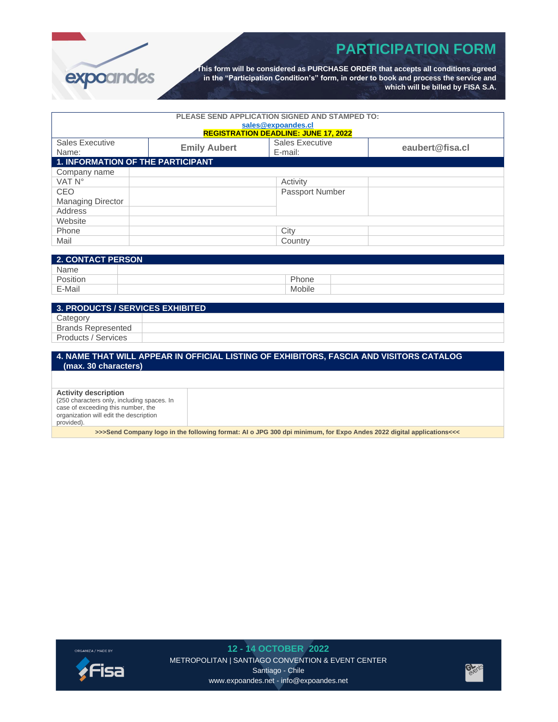

**This form will be considered as PURCHASE ORDER that accepts all conditions agreed in the "Participation Condition's" form, in order to book and process the service and which will be billed by FISA S.A.**

| PLEASE SEND APPLICATION SIGNED AND STAMPED TO: |                                                   |                                             |                 |  |  |  |
|------------------------------------------------|---------------------------------------------------|---------------------------------------------|-----------------|--|--|--|
|                                                | sales@expoandes.cl                                |                                             |                 |  |  |  |
|                                                |                                                   | <b>REGISTRATION DEADLINE: JUNE 17, 2022</b> |                 |  |  |  |
| <b>Sales Executive</b><br>Name:                | Sales Executive<br><b>Emily Aubert</b><br>E-mail: |                                             | eaubert@fisa.cl |  |  |  |
|                                                | <b>1. INFORMATION OF THE PARTICIPANT</b>          |                                             |                 |  |  |  |
| Company name                                   |                                                   |                                             |                 |  |  |  |
| VAT N°                                         |                                                   | Activity                                    |                 |  |  |  |
| CEO                                            | Passport Number                                   |                                             |                 |  |  |  |
| <b>Managing Director</b>                       |                                                   |                                             |                 |  |  |  |
| Address                                        |                                                   |                                             |                 |  |  |  |
| Website                                        |                                                   |                                             |                 |  |  |  |
| Phone                                          |                                                   | City                                        |                 |  |  |  |
| Mail                                           |                                                   | Country                                     |                 |  |  |  |

| <b>2. CONTACT PERSON</b> |        |  |  |
|--------------------------|--------|--|--|
| Name                     |        |  |  |
| Position                 | Phone  |  |  |
| E-Mail                   | Mobile |  |  |

| 3. PRODUCTS / SERVICES EXHIBITED ! |  |  |  |
|------------------------------------|--|--|--|
| Category                           |  |  |  |
| <b>Brands Represented</b>          |  |  |  |
| Products / Services                |  |  |  |
|                                    |  |  |  |

### **4. NAME THAT WILL APPEAR IN OFFICIAL LISTING OF EXHIBITORS, FASCIA AND VISITORS CATALOG (max. 30 characters)**

**Activity description** (250 characters only, including spaces. In case of exceeding this number, the organization will edit the description

provided).

**>>>Send Company logo in the following format: AI o JPG 300 dpi minimum, for Expo Andes 2022 digital applications<<<**



**12 - 14 OCTOBER 2022** METROPOLITAN | SANTIAGO CONVENTION & EVENT CENTER Santiago - Chile www.expoandes.net - info@expoandes.net

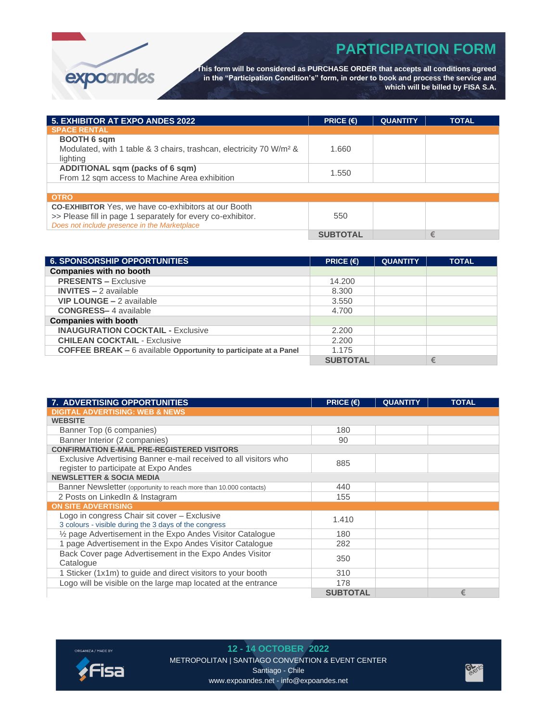expoandes

**This form will be considered as PURCHASE ORDER that accepts all conditions agreed in the "Participation Condition's" form, in order to book and process the service and which will be billed by FISA S.A.**

| 5. EXHIBITOR AT EXPO ANDES 2022                                                                                                                                            | PRICE $(E)$     | <b>QUANTITY</b> | <b>TOTAL</b> |
|----------------------------------------------------------------------------------------------------------------------------------------------------------------------------|-----------------|-----------------|--------------|
| <b>SPACE RENTAL</b>                                                                                                                                                        |                 |                 |              |
| <b>BOOTH 6 sqm</b><br>Modulated, with 1 table & 3 chairs, trashcan, electricity 70 W/m <sup>2</sup> &<br>lighting                                                          | 1.660           |                 |              |
| ADDITIONAL sqm (packs of 6 sqm)<br>From 12 sqm access to Machine Area exhibition                                                                                           | 1.550           |                 |              |
|                                                                                                                                                                            |                 |                 |              |
| <b>OTRO</b>                                                                                                                                                                |                 |                 |              |
| <b>CO-EXHIBITOR</b> Yes, we have co-exhibitors at our Booth<br>>> Please fill in page 1 separately for every co-exhibitor.<br>Does not include presence in the Marketplace | 550             |                 |              |
|                                                                                                                                                                            | <b>SUBTOTAL</b> |                 | €            |

| 6. SPONSORSHIP OPPORTUNITIES                                            | PRICE $(E)$     | <b>QUANTITY</b> | <b>TOTAL</b> |
|-------------------------------------------------------------------------|-----------------|-----------------|--------------|
| <b>Companies with no booth</b>                                          |                 |                 |              |
| <b>PRESENTS - Exclusive</b>                                             | 14.200          |                 |              |
| <b>INVITES – 2 available</b>                                            | 8.300           |                 |              |
| <b>VIP LOUNGE –</b> 2 available                                         | 3.550           |                 |              |
| <b>CONGRESS-4 available</b>                                             | 4.700           |                 |              |
| <b>Companies with booth</b>                                             |                 |                 |              |
| <b>INAUGURATION COCKTAIL - Exclusive</b>                                | 2.200           |                 |              |
| <b>CHILEAN COCKTAIL - Exclusive</b>                                     | 2.200           |                 |              |
| <b>COFFEE BREAK –</b> 6 available Opportunity to participate at a Panel | 1.175           |                 |              |
|                                                                         | <b>SUBTOTAL</b> |                 | €            |

| 7. ADVERTISING OPPORTUNITIES                                       | PRICE $(E)$     | <b>QUANTITY</b> | <b>TOTAL</b> |
|--------------------------------------------------------------------|-----------------|-----------------|--------------|
| <b>DIGITAL ADVERTISING: WEB &amp; NEWS</b>                         |                 |                 |              |
| <b>WEBSITE</b>                                                     |                 |                 |              |
| Banner Top (6 companies)                                           | 180             |                 |              |
| Banner Interior (2 companies)                                      | 90              |                 |              |
| <b>CONFIRMATION E-MAIL PRE-REGISTERED VISITORS</b>                 |                 |                 |              |
| Exclusive Advertising Banner e-mail received to all visitors who   | 885             |                 |              |
| register to participate at Expo Andes                              |                 |                 |              |
| <b>NEWSLETTER &amp; SOCIA MEDIA</b>                                |                 |                 |              |
| Banner Newsletter (opportunity to reach more than 10.000 contacts) | 440             |                 |              |
| 2 Posts on Linkedln & Instagram                                    | 155             |                 |              |
| <b>ON SITE ADVERTISING</b>                                         |                 |                 |              |
| Logo in congress Chair sit cover - Exclusive                       | 1.410           |                 |              |
| 3 colours - visible during the 3 days of the congress              |                 |                 |              |
| 1/2 page Advertisement in the Expo Andes Visitor Catalogue         | 180             |                 |              |
| 1 page Advertisement in the Expo Andes Visitor Catalogue           | 282             |                 |              |
| Back Cover page Advertisement in the Expo Andes Visitor            | 350             |                 |              |
| Catalogue                                                          |                 |                 |              |
| 1 Sticker (1x1m) to guide and direct visitors to your booth        | 310             |                 |              |
| Logo will be visible on the large map located at the entrance      | 178             |                 |              |
|                                                                    | <b>SUBTOTAL</b> |                 | €            |



#### **12 - 14 OCTOBER 2022** METROPOLITAN | SANTIAGO CONVENTION & EVENT CENTER Santiago - Chile www.expoandes.net - info@expoandes.net

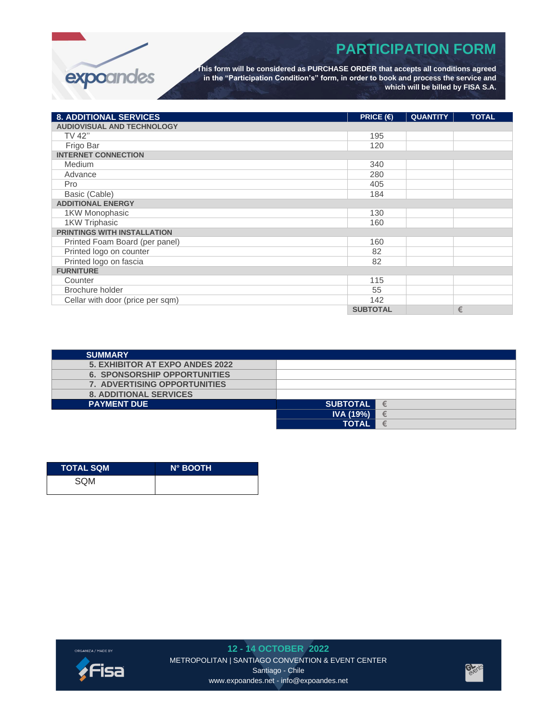

**This form will be considered as PURCHASE ORDER that accepts all conditions agreed in the "Participation Condition's" form, in order to book and process the service and which will be billed by FISA S.A.**

| <b>8. ADDITIONAL SERVICES</b>      | PRICE $(E)$     | <b>QUANTITY</b> | <b>TOTAL</b> |
|------------------------------------|-----------------|-----------------|--------------|
| <b>AUDIOVISUAL AND TECHNOLOGY</b>  |                 |                 |              |
| TV 42"                             | 195             |                 |              |
| Frigo Bar                          | 120             |                 |              |
| <b>INTERNET CONNECTION</b>         |                 |                 |              |
| Medium                             | 340             |                 |              |
| Advance                            | 280             |                 |              |
| Pro                                | 405             |                 |              |
| Basic (Cable)                      | 184             |                 |              |
| <b>ADDITIONAL ENERGY</b>           |                 |                 |              |
| 1KW Monophasic                     | 130             |                 |              |
| 1KW Triphasic                      | 160             |                 |              |
| <b>PRINTINGS WITH INSTALLATION</b> |                 |                 |              |
| Printed Foam Board (per panel)     | 160             |                 |              |
| Printed logo on counter            | 82              |                 |              |
| Printed logo on fascia             | 82              |                 |              |
| <b>FURNITURE</b>                   |                 |                 |              |
| Counter                            | 115             |                 |              |
| Brochure holder                    | 55              |                 |              |
| Cellar with door (price per sqm)   | 142             |                 |              |
|                                    | <b>SUBTOTAL</b> |                 | €            |

| <b>SUMMARY</b>                         |                       |
|----------------------------------------|-----------------------|
| <b>5. EXHIBITOR AT EXPO ANDES 2022</b> |                       |
| <b>6. SPONSORSHIP OPPORTUNITIES</b>    |                       |
| <b>7. ADVERTISING OPPORTUNITIES</b>    |                       |
| <b>8. ADDITIONAL SERVICES</b>          |                       |
| <b>PAYMENT DUE</b>                     | <b>SUBTOTAL</b><br>€  |
|                                        | <b>IVA (19%)</b><br>€ |
|                                        | <b>TOTAL</b><br>€     |

| <b>TOTAL SQM</b> | <b>N° BOOTH</b> |
|------------------|-----------------|
| SOM              |                 |